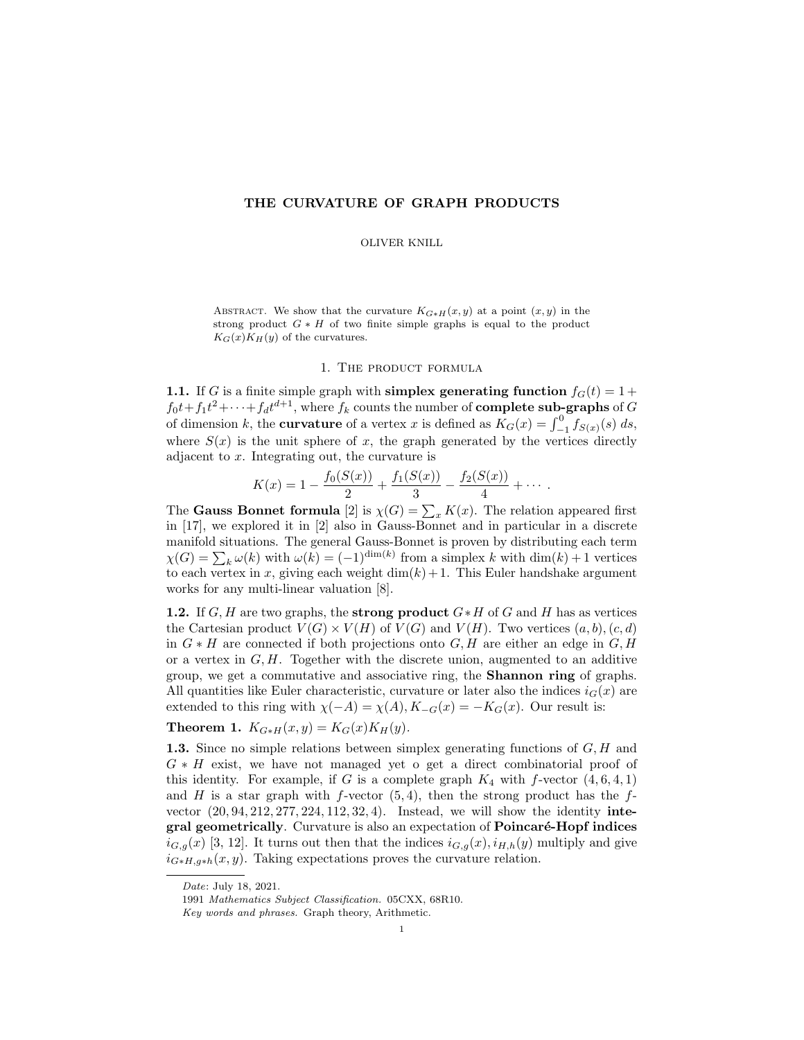### THE CURVATURE OF GRAPH PRODUCTS

#### OLIVER KNILL

ABSTRACT. We show that the curvature  $K_{G*H}(x, y)$  at a point  $(x, y)$  in the strong product  $G * H$  of two finite simple graphs is equal to the product  $K_G(x)K_H(y)$  of the curvatures.

### 1. The product formula

1.1. If G is a finite simple graph with simplex generating function  $f_G(t) = 1 +$  $f_0t+f_1t^2+\cdots+f_dt^{d+1}$ , where  $f_k$  counts the number of **complete sub-graphs** of G of dimension k, the **curvature** of a vertex x is defined as  $K_G(x) = \int_{-1}^{0} f_{S(x)}(s) ds$ , where  $S(x)$  is the unit sphere of x, the graph generated by the vertices directly adjacent to x. Integrating out, the curvature is

$$
K(x) = 1 - \frac{f_0(S(x))}{2} + \frac{f_1(S(x))}{3} - \frac{f_2(S(x))}{4} + \cdots
$$

The **Gauss Bonnet formula** [2] is  $\chi(G) = \sum_x K(x)$ . The relation appeared first in [17], we explored it in [2] also in Gauss-Bonnet and in particular in a discrete manifold situations. The general Gauss-Bonnet is proven by distributing each term  $\chi(G) = \sum_{k} \omega(k)$  with  $\omega(k) = (-1)^{\dim(k)}$  from a simplex k with  $\dim(k) + 1$  vertices to each vertex in x, giving each weight  $\dim(k) + 1$ . This Euler handshake argument works for any multi-linear valuation [8].

**1.2.** If G, H are two graphs, the **strong product**  $G * H$  of G and H has as vertices the Cartesian product  $V(G) \times V(H)$  of  $V(G)$  and  $V(H)$ . Two vertices  $(a, b), (c, d)$ in  $G * H$  are connected if both projections onto  $G, H$  are either an edge in  $G, H$ or a vertex in  $G, H$ . Together with the discrete union, augmented to an additive group, we get a commutative and associative ring, the Shannon ring of graphs. All quantities like Euler characteristic, curvature or later also the indices  $i_G(x)$  are extended to this ring with  $\chi(-A) = \chi(A), K_{-G}(x) = -K_G(x)$ . Our result is:

# Theorem 1.  $K_{G*H}(x, y) = K_G(x)K_H(y)$ .

**1.3.** Since no simple relations between simplex generating functions of  $G, H$  and  $G * H$  exist, we have not managed yet o get a direct combinatorial proof of this identity. For example, if G is a complete graph  $K_4$  with f-vector  $(4, 6, 4, 1)$ and H is a star graph with f-vector  $(5, 4)$ , then the strong product has the fvector (20, 94, 212, 277, 224, 112, 32, 4). Instead, we will show the identity integral geometrically. Curvature is also an expectation of **Poincaré-Hopf indices**  $i_{G,g}(x)$  [3, 12]. It turns out then that the indices  $i_{G,g}(x), i_{H,h}(y)$  multiply and give  $i_{G*H,g*h}(x, y)$ . Taking expectations proves the curvature relation.

Date: July 18, 2021.

<sup>1991</sup> Mathematics Subject Classification. 05CXX, 68R10.

Key words and phrases. Graph theory, Arithmetic.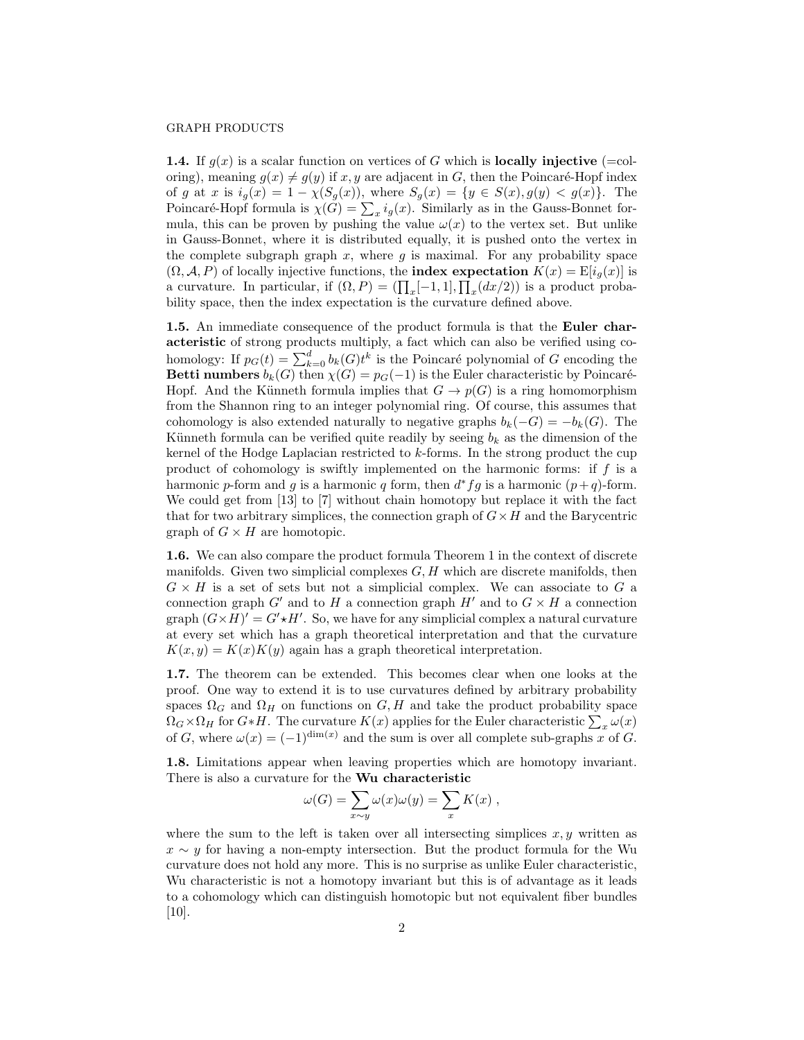**1.4.** If  $g(x)$  is a scalar function on vertices of G which is **locally injective** (=coloring), meaning  $g(x) \neq g(y)$  if x, y are adjacent in G, then the Poincaré-Hopf index of g at x is  $i_g(x) = 1 - \chi(S_g(x))$ , where  $S_g(x) = \{y \in S(x), g(y) < g(x)\}$ . The Poincaré-Hopf formula is  $\chi(G) = \sum_x i_g(x)$ . Similarly as in the Gauss-Bonnet formula, this can be proven by pushing the value  $\omega(x)$  to the vertex set. But unlike in Gauss-Bonnet, where it is distributed equally, it is pushed onto the vertex in the complete subgraph graph x, where  $q$  is maximal. For any probability space  $(\Omega, \mathcal{A}, P)$  of locally injective functions, the **index expectation**  $K(x) = \mathbb{E}[i_q(x)]$  is a curvature. In particular, if  $(\Omega, P) = (\prod_x [-1, 1], \prod_x (dx/2))$  is a product probability space, then the index expectation is the curvature defined above.

1.5. An immediate consequence of the product formula is that the Euler characteristic of strong products multiply, a fact which can also be verified using cohomology: If  $p_G(t) = \sum_{k=0}^d b_k(G)t^k$  is the Poincaré polynomial of G encoding the Betti numbers  $b_k(G)$  then  $\chi(G) = p_G(-1)$  is the Euler characteristic by Poincaré-Hopf. And the Künneth formula implies that  $G \to p(G)$  is a ring homomorphism from the Shannon ring to an integer polynomial ring. Of course, this assumes that cohomology is also extended naturally to negative graphs  $b_k(-G) = -b_k(G)$ . The Künneth formula can be verified quite readily by seeing  $b_k$  as the dimension of the kernel of the Hodge Laplacian restricted to k-forms. In the strong product the cup product of cohomology is swiftly implemented on the harmonic forms: if  $f$  is a harmonic p-form and g is a harmonic q form, then  $d^*fg$  is a harmonic  $(p+q)$ -form. We could get from [13] to [7] without chain homotopy but replace it with the fact that for two arbitrary simplices, the connection graph of  $G \times H$  and the Barycentric graph of  $G \times H$  are homotopic.

1.6. We can also compare the product formula Theorem 1 in the context of discrete manifolds. Given two simplicial complexes  $G, H$  which are discrete manifolds, then  $G \times H$  is a set of sets but not a simplicial complex. We can associate to G a connection graph G' and to H a connection graph H' and to  $G \times H$  a connection graph  $(G \times H)' = G' \star H'$ . So, we have for any simplicial complex a natural curvature at every set which has a graph theoretical interpretation and that the curvature  $K(x, y) = K(x)K(y)$  again has a graph theoretical interpretation.

1.7. The theorem can be extended. This becomes clear when one looks at the proof. One way to extend it is to use curvatures defined by arbitrary probability spaces  $\Omega_G$  and  $\Omega_H$  on functions on  $G, H$  and take the product probability space  $\Omega_G \times \Omega_H$  for  $G * H$ . The curvature  $K(x)$  applies for the Euler characteristic  $\sum_x \omega(x)$ of G, where  $\omega(x) = (-1)^{\dim(x)}$  and the sum is over all complete sub-graphs x of G.

1.8. Limitations appear when leaving properties which are homotopy invariant. There is also a curvature for the Wu characteristic

$$
\omega(G) = \sum_{x \sim y} \omega(x)\omega(y) = \sum_{x} K(x) ,
$$

where the sum to the left is taken over all intersecting simplices  $x, y$  written as  $x \sim y$  for having a non-empty intersection. But the product formula for the Wu curvature does not hold any more. This is no surprise as unlike Euler characteristic, Wu characteristic is not a homotopy invariant but this is of advantage as it leads to a cohomology which can distinguish homotopic but not equivalent fiber bundles [10].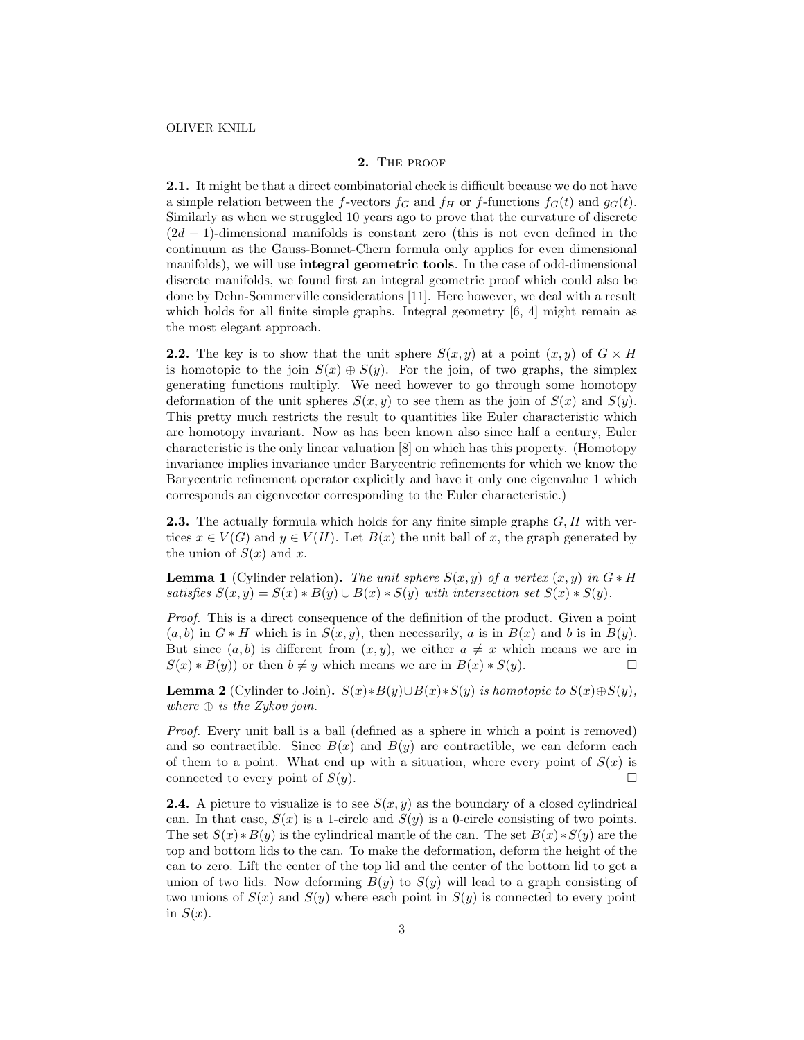#### 2. THE PROOF

2.1. It might be that a direct combinatorial check is difficult because we do not have a simple relation between the f-vectors  $f_G$  and  $f_H$  or f-functions  $f_G(t)$  and  $g_G(t)$ . Similarly as when we struggled 10 years ago to prove that the curvature of discrete  $(2d - 1)$ -dimensional manifolds is constant zero (this is not even defined in the continuum as the Gauss-Bonnet-Chern formula only applies for even dimensional manifolds), we will use integral geometric tools. In the case of odd-dimensional discrete manifolds, we found first an integral geometric proof which could also be done by Dehn-Sommerville considerations [11]. Here however, we deal with a result which holds for all finite simple graphs. Integral geometry [6, 4] might remain as the most elegant approach.

**2.2.** The key is to show that the unit sphere  $S(x, y)$  at a point  $(x, y)$  of  $G \times H$ is homotopic to the join  $S(x) \oplus S(y)$ . For the join, of two graphs, the simplex generating functions multiply. We need however to go through some homotopy deformation of the unit spheres  $S(x, y)$  to see them as the join of  $S(x)$  and  $S(y)$ . This pretty much restricts the result to quantities like Euler characteristic which are homotopy invariant. Now as has been known also since half a century, Euler characteristic is the only linear valuation [8] on which has this property. (Homotopy invariance implies invariance under Barycentric refinements for which we know the Barycentric refinement operator explicitly and have it only one eigenvalue 1 which corresponds an eigenvector corresponding to the Euler characteristic.)

**2.3.** The actually formula which holds for any finite simple graphs  $G, H$  with vertices  $x \in V(G)$  and  $y \in V(H)$ . Let  $B(x)$  the unit ball of x, the graph generated by the union of  $S(x)$  and x.

**Lemma 1** (Cylinder relation). The unit sphere  $S(x, y)$  of a vertex  $(x, y)$  in  $G * H$ satisfies  $S(x, y) = S(x) * B(y) \cup B(x) * S(y)$  with intersection set  $S(x) * S(y)$ .

Proof. This is a direct consequence of the definition of the product. Given a point  $(a, b)$  in  $G * H$  which is in  $S(x, y)$ , then necessarily, a is in  $B(x)$  and b is in  $B(y)$ . But since  $(a, b)$  is different from  $(x, y)$ , we either  $a \neq x$  which means we are in  $S(x) * B(y)$  or then  $b \neq y$  which means we are in  $B(x) * S(y)$ .

**Lemma 2** (Cylinder to Join).  $S(x)*B(y)\cup B(x)*S(y)$  is homotopic to  $S(x)\oplus S(y)$ , where  $\oplus$  is the Zykov join.

Proof. Every unit ball is a ball (defined as a sphere in which a point is removed) and so contractible. Since  $B(x)$  and  $B(y)$  are contractible, we can deform each of them to a point. What end up with a situation, where every point of  $S(x)$  is connected to every point of  $S(y)$ .

**2.4.** A picture to visualize is to see  $S(x, y)$  as the boundary of a closed cylindrical can. In that case,  $S(x)$  is a 1-circle and  $S(y)$  is a 0-circle consisting of two points. The set  $S(x) * B(y)$  is the cylindrical mantle of the can. The set  $B(x) * S(y)$  are the top and bottom lids to the can. To make the deformation, deform the height of the can to zero. Lift the center of the top lid and the center of the bottom lid to get a union of two lids. Now deforming  $B(y)$  to  $S(y)$  will lead to a graph consisting of two unions of  $S(x)$  and  $S(y)$  where each point in  $S(y)$  is connected to every point in  $S(x)$ .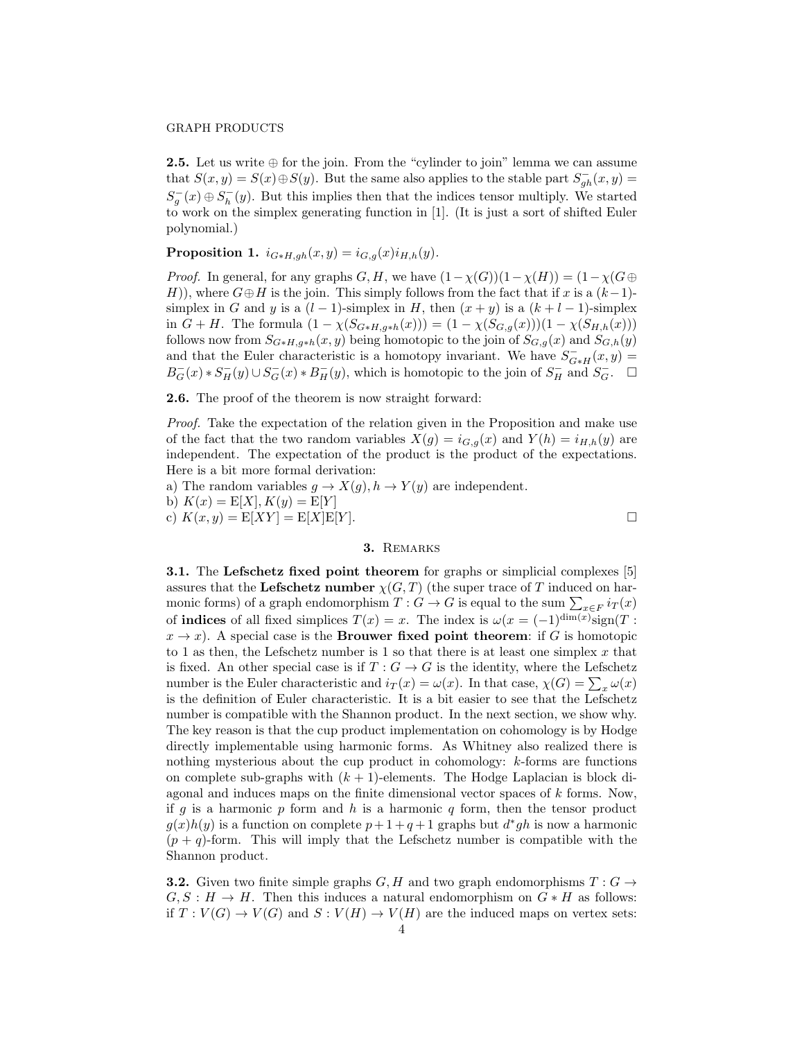**2.5.** Let us write  $\oplus$  for the join. From the "cylinder to join" lemma we can assume that  $S(x, y) = S(x) \oplus S(y)$ . But the same also applies to the stable part  $S_{gh}^-(x, y) =$  $S_g^{-}(x) \oplus S_h^{-}(y)$ . But this implies then that the indices tensor multiply. We started to work on the simplex generating function in [1]. (It is just a sort of shifted Euler polynomial.)

Proposition 1.  $i_{G*H,gh}(x,y) = i_{G,g}(x)i_{H,h}(y)$ .

*Proof.* In general, for any graphs  $G, H$ , we have  $(1 - \chi(G))(1 - \chi(H)) = (1 - \chi(G))$ H)), where  $G \oplus H$  is the join. This simply follows from the fact that if x is a  $(k-1)$ simplex in G and y is a  $(l-1)$ -simplex in H, then  $(x + y)$  is a  $(k + l - 1)$ -simplex in  $G + H$ . The formula  $(1 - \chi(S_{G * H, g * h}(x))) = (1 - \chi(S_{G, g}(x)))(1 - \chi(S_{H, h}(x)))$ follows now from  $S_{G*H,g*h}(x, y)$  being homotopic to the join of  $S_{G,g}(x)$  and  $S_{G,h}(y)$ and that the Euler characteristic is a homotopy invariant. We have  $S_{G*H}^-(x,y) =$  $B_G^-(x) * S_H^-(y) \cup S_G^-(x) * B_H^-(y)$ , which is homotopic to the join of  $S_H^-$  and  $S_G^-$ .  $\square$ 

2.6. The proof of the theorem is now straight forward:

Proof. Take the expectation of the relation given in the Proposition and make use of the fact that the two random variables  $X(g) = i_{G,g}(x)$  and  $Y(h) = i_{H,h}(y)$  are independent. The expectation of the product is the product of the expectations. Here is a bit more formal derivation:

a) The random variables  $g \to X(g)$ ,  $h \to Y(g)$  are independent. b)  $K(x) = E[X], K(y) = E[Y]$ c)  $K(x, y) = E[XY] = E[X]E[Y]$ .

#### 3. REMARKS

3.1. The Lefschetz fixed point theorem for graphs or simplicial complexes [5] assures that the Lefschetz number  $\chi(G, T)$  (the super trace of T induced on harmonic forms) of a graph endomorphism  $T: G \to G$  is equal to the sum  $\sum_{x \in F} i_T(x)$ of **indices** of all fixed simplices  $T(x) = x$ . The index is  $\omega(x = (-1)^{\dim(x)} sign(T)$ :  $x \to x$ ). A special case is the **Brouwer fixed point theorem**: if G is homotopic to 1 as then, the Lefschetz number is 1 so that there is at least one simplex  $x$  that is fixed. An other special case is if  $T : G \to G$  is the identity, where the Lefschetz number is the Euler characteristic and  $i_T(x) = \omega(x)$ . In that case,  $\chi(G) = \sum_x \omega(x)$ is the definition of Euler characteristic. It is a bit easier to see that the Lefschetz number is compatible with the Shannon product. In the next section, we show why. The key reason is that the cup product implementation on cohomology is by Hodge directly implementable using harmonic forms. As Whitney also realized there is nothing mysterious about the cup product in cohomology: k-forms are functions on complete sub-graphs with  $(k + 1)$ -elements. The Hodge Laplacian is block diagonal and induces maps on the finite dimensional vector spaces of k forms. Now, if g is a harmonic  $p$  form and  $h$  is a harmonic  $q$  form, then the tensor product  $g(x)h(y)$  is a function on complete  $p+1+q+1$  graphs but  $d^*gh$  is now a harmonic  $(p+q)$ -form. This will imply that the Lefschetz number is compatible with the Shannon product.

**3.2.** Given two finite simple graphs G, H and two graph endomorphisms  $T: G \rightarrow$  $G, S : H \to H$ . Then this induces a natural endomorphism on  $G * H$  as follows: if  $T: V(G) \to V(G)$  and  $S: V(H) \to V(H)$  are the induced maps on vertex sets: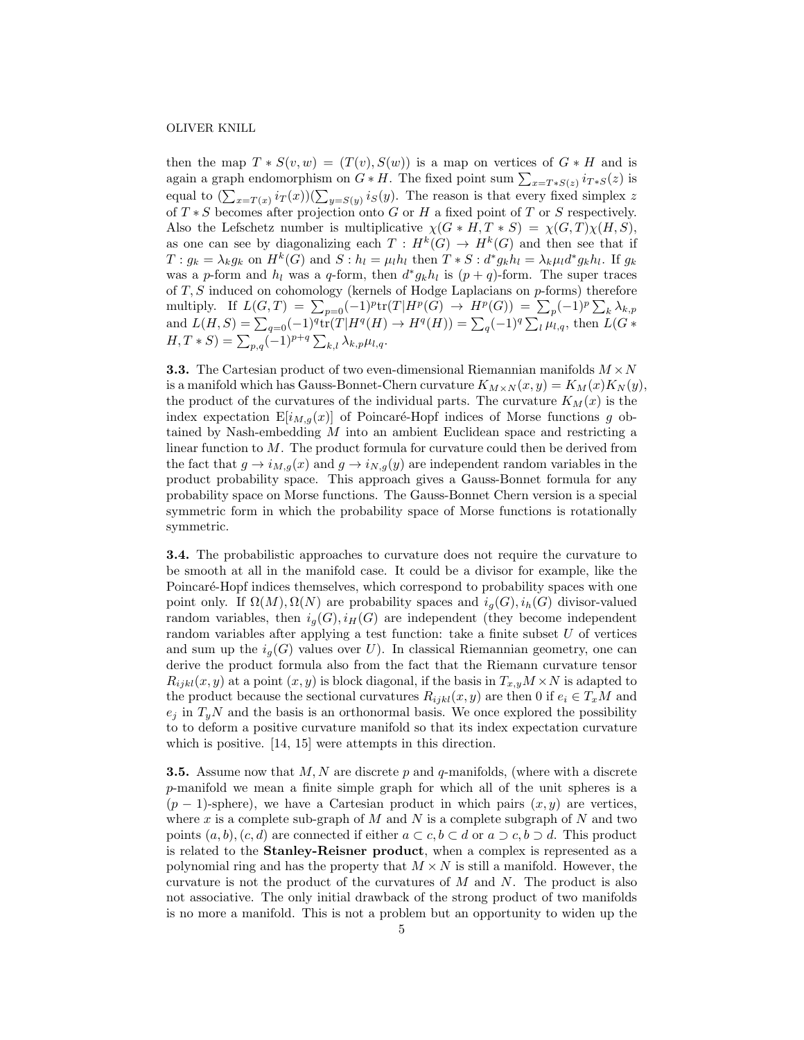### OLIVER KNILL

then the map  $T * S(v, w) = (T(v), S(w))$  is a map on vertices of  $G * H$  and is again a graph endomorphism on  $G * H$ . The fixed point sum  $\sum_{x=T*S(z)} i_{T*S}(z)$  is equal to  $(\sum_{x=T(x)} i_T(x))(\sum_{y=S(y)} i_S(y)$ . The reason is that every fixed simplex z of  $T * S$  becomes after projection onto G or H a fixed point of T or S respectively. Also the Lefschetz number is multiplicative  $\chi(G * H, T * S) = \chi(G, T)\chi(H, S)$ , as one can see by diagonalizing each  $T: H^k(G) \to H^k(G)$  and then see that if  $T: g_k = \lambda_k g_k$  on  $H^k(G)$  and  $S: h_l = \mu_l h_l$  then  $T * S : d^* g_k h_l = \lambda_k \mu_l d^* g_k h_l$ . If  $g_k$ was a p-form and  $h_l$  was a q-form, then  $d^*g_kh_l$  is  $(p+q)$ -form. The super traces of  $T, S$  induced on cohomology (kernels of Hodge Laplacians on  $p$ -forms) therefore multiply. If  $L(G,T) = \sum_{p=0}^{\infty} (-1)^p tr(T|H^p(G)) \rightarrow H^p(G)) = \sum_{p} (-1)^p \sum_{k} \lambda_{k,p}$ and  $L(H, S) = \sum_{q=0}$  (-1)<sup>q</sup>tr(T|H<sup>q</sup>(H)  $\to H<sup>q</sup>(H)$ ) =  $\sum_{q}$ (-1)<sup>q</sup> $\sum_{l} \mu_{l,q}$ , then  $L(G \ast$  $(H, T * S) = \sum_{p,q} (-1)^{p+q} \sum_{k,l} \lambda_{k,p} \mu_{l,q}.$ 

**3.3.** The Cartesian product of two even-dimensional Riemannian manifolds  $M \times N$ is a manifold which has Gauss-Bonnet-Chern curvature  $K_{M\times N}(x, y) = K_M(x)K_N(y)$ , the product of the curvatures of the individual parts. The curvature  $K_M(x)$  is the index expectation  $E[i_{M,q}(x)]$  of Poincaré-Hopf indices of Morse functions g obtained by Nash-embedding M into an ambient Euclidean space and restricting a linear function to M. The product formula for curvature could then be derived from the fact that  $g \to i_{M,g}(x)$  and  $g \to i_{N,g}(y)$  are independent random variables in the product probability space. This approach gives a Gauss-Bonnet formula for any probability space on Morse functions. The Gauss-Bonnet Chern version is a special symmetric form in which the probability space of Morse functions is rotationally symmetric.

3.4. The probabilistic approaches to curvature does not require the curvature to be smooth at all in the manifold case. It could be a divisor for example, like the Poincaré-Hopf indices themselves, which correspond to probability spaces with one point only. If  $\Omega(M), \Omega(N)$  are probability spaces and  $i_q(G), i_h(G)$  divisor-valued random variables, then  $i_q(G), i_H(G)$  are independent (they become independent random variables after applying a test function: take a finite subset  $U$  of vertices and sum up the  $i_q(G)$  values over U). In classical Riemannian geometry, one can derive the product formula also from the fact that the Riemann curvature tensor  $R_{ijkl}(x, y)$  at a point  $(x, y)$  is block diagonal, if the basis in  $T_{x,y}M \times N$  is adapted to the product because the sectional curvatures  $R_{ijkl}(x, y)$  are then 0 if  $e_i \in T_xM$  and  $e_j$  in  $T_uN$  and the basis is an orthonormal basis. We once explored the possibility to to deform a positive curvature manifold so that its index expectation curvature which is positive. [14, 15] were attempts in this direction.

**3.5.** Assume now that  $M, N$  are discrete p and q-manifolds, (where with a discrete p-manifold we mean a finite simple graph for which all of the unit spheres is a  $(p-1)$ -sphere), we have a Cartesian product in which pairs  $(x, y)$  are vertices, where x is a complete sub-graph of  $M$  and  $N$  is a complete subgraph of  $N$  and two points  $(a, b), (c, d)$  are connected if either  $a \subset c, b \subset d$  or  $a \supset c, b \supset d$ . This product is related to the Stanley-Reisner product, when a complex is represented as a polynomial ring and has the property that  $M \times N$  is still a manifold. However, the curvature is not the product of the curvatures of  $M$  and  $N$ . The product is also not associative. The only initial drawback of the strong product of two manifolds is no more a manifold. This is not a problem but an opportunity to widen up the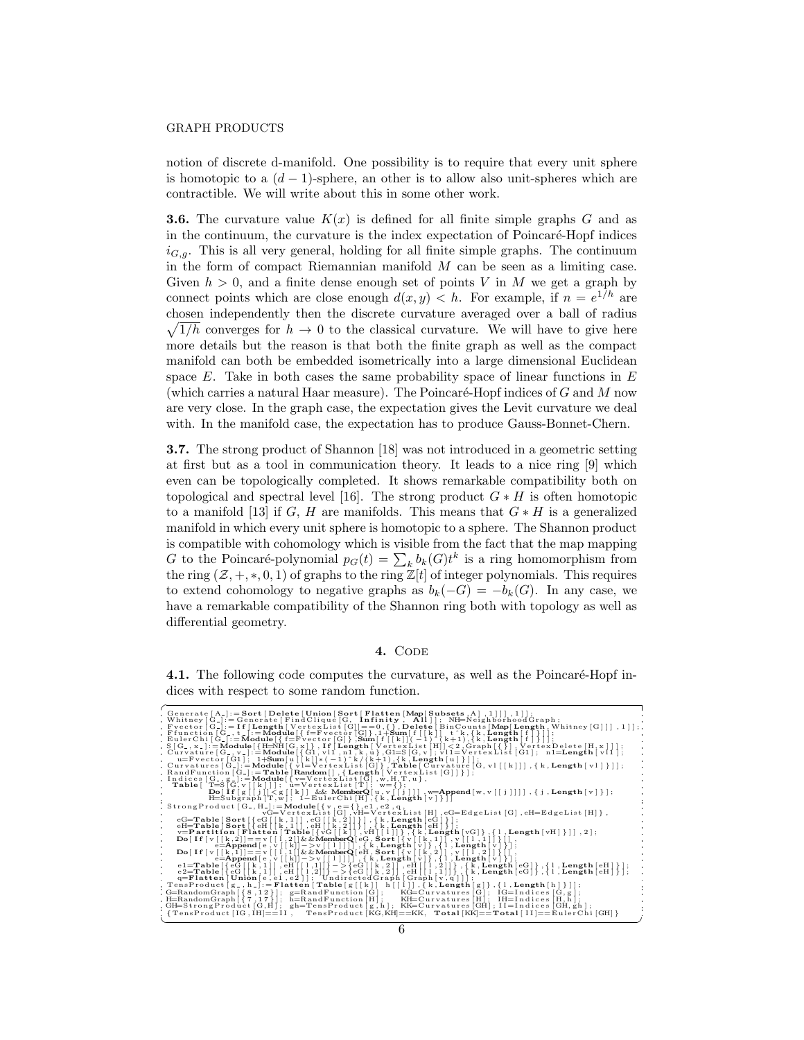notion of discrete d-manifold. One possibility is to require that every unit sphere is homotopic to a  $(d-1)$ -sphere, an other is to allow also unit-spheres which are contractible. We will write about this in some other work.

**3.6.** The curvature value  $K(x)$  is defined for all finite simple graphs G and as in the continuum, the curvature is the index expectation of Poincaré-Hopf indices  $i_{G,g}$ . This is all very general, holding for all finite simple graphs. The continuum in the form of compact Riemannian manifold  $M$  can be seen as a limiting case. Given  $h > 0$ , and a finite dense enough set of points V in M we get a graph by connect points which are close enough  $d(x, y) < h$ . For example, if  $n = e^{1/h}$  are chosen independently then the discrete curvature averaged over a ball of radius  $\sqrt{1/h}$  converges for  $h \to 0$  to the classical curvature. We will have to give here more details but the reason is that both the finite graph as well as the compact manifold can both be embedded isometrically into a large dimensional Euclidean space  $E$ . Take in both cases the same probability space of linear functions in  $E$ (which carries a natural Haar measure). The Poincaré-Hopf indices of  $G$  and  $M$  now are very close. In the graph case, the expectation gives the Levit curvature we deal with. In the manifold case, the expectation has to produce Gauss-Bonnet-Chern.

3.7. The strong product of Shannon [18] was not introduced in a geometric setting at first but as a tool in communication theory. It leads to a nice ring [9] which even can be topologically completed. It shows remarkable compatibility both on topological and spectral level [16]. The strong product  $G * H$  is often homotopic to a manifold [13] if G, H are manifolds. This means that  $G * H$  is a generalized manifold in which every unit sphere is homotopic to a sphere. The Shannon product is compatible with cohomology which is visible from the fact that the map mapping G to the Poincaré-polynomial  $p_G(t) = \sum_k b_k(G)t^k$  is a ring homomorphism from the ring  $(\mathcal{Z}, +, *, 0, 1)$  of graphs to the ring  $\mathbb{Z}[t]$  of integer polynomials. This requires to extend cohomology to negative graphs as  $b_k(-G) = -b_k(G)$ . In any case, we have a remarkable compatibility of the Shannon ring both with topology as well as differential geometry.

## 4. CODE

4.1. The following code computes the curvature, as well as the Poincaré-Hopf indices with respect to some random function.

| Generate $[A_{-}]:=$ Sort $[$ Delete $[$ Union $[$ Sort $[$ Flatten $[$ Map $[$ Subsets $,$ A $]$ $,$ $1$ $]$ $]$ $,$ $1$ $]$ ;                                                                                                                                                                                                                                                                                                                                                                                                               |
|-----------------------------------------------------------------------------------------------------------------------------------------------------------------------------------------------------------------------------------------------------------------------------------------------------------------------------------------------------------------------------------------------------------------------------------------------------------------------------------------------------------------------------------------------|
| , Whitney [G <sub>-</sub> ]: = Generate [FindClique [G, <b>Infinity</b> , <b>All</b> ]]; NH=NeighborhoodGraph;                                                                                                                                                                                                                                                                                                                                                                                                                                |
| . Freetor [G.] := If [Length   VertexList](c]] == 0,{}, Delete   BinCounts [Map[Length, Whitney [G]]] , 1]] ;<br>. Ffunction [G., t.] := Module [{ == Vector [G]}, 1 + Sum [ f [[k]] t * k, {k, Length [ ]] , 1]] ;<br>. EulerChi [                                                                                                                                                                                                                                                                                                           |
|                                                                                                                                                                                                                                                                                                                                                                                                                                                                                                                                               |
|                                                                                                                                                                                                                                                                                                                                                                                                                                                                                                                                               |
| $S[G_-,x_-]:=Module[\{H=\dot{N}H[G,x]\}\,$ , If [Length [VertexList [H]] < 2, Graph $[\{\}]$ , VertexDelete [H, x ]]];                                                                                                                                                                                                                                                                                                                                                                                                                        |
| Curvature $[G_-, v_-]:=$ Module $\{G_1, v_11, v_1, k, u\}$ , $G_1=S[G, v]; v_11=V$ ertex List $[G_1]; n1=$ Length $[v_11];$                                                                                                                                                                                                                                                                                                                                                                                                                   |
| u=Fvector [G1]; 1+Sum [u][k]]* (-1) k/(k+1), {k, Length [u] }] ;                                                                                                                                                                                                                                                                                                                                                                                                                                                                              |
| Curvatures [G_]:=Module[{v]=VertexList[G]}, Table [Curvature [G, v1 [[k]]], {k, Length [v1]}]];                                                                                                                                                                                                                                                                                                                                                                                                                                               |
|                                                                                                                                                                                                                                                                                                                                                                                                                                                                                                                                               |
| RandFunction $[G_-]:=\textbf{Table} \textbf{Random}[], \{\textbf{Length}[ \text{VertexList}[G]] \} \};$<br>Indices $[G_-, g_-]:=\textbf{Module}[\{v=VertexList[G], w, H, T, u \} ,$                                                                                                                                                                                                                                                                                                                                                           |
| <b>Table</b> $[T=S[G,v[[k]]]; \quad u=VertexList[T]; \quad w=\{\};$                                                                                                                                                                                                                                                                                                                                                                                                                                                                           |
| $\text{Do}[\text{if}[g][j]]< g[[k]]$ & MemberQ $[u, v[[j]]]$ , w=Append $[w, v[[j]]]$ , {j, Length $[v]$ };                                                                                                                                                                                                                                                                                                                                                                                                                                   |
| $H = \text{Subgraph}[T, w]; \quad 1 - \text{EulerChi}[H], \{k, \text{Length}[v]\}$                                                                                                                                                                                                                                                                                                                                                                                                                                                            |
| StrongProduct [G_, H_] := Module $\{\mathbf{v}, \mathbf{e} = \{\}, \mathbf{e1}, \mathbf{e2}, \mathbf{q},\$                                                                                                                                                                                                                                                                                                                                                                                                                                    |
| $vG=V$ ertexList [G], $vH=V$ ertexList [H], eG=EdgeList [G], eH=EdgeList [H] },                                                                                                                                                                                                                                                                                                                                                                                                                                                               |
| $\label{eq:ex1} \begin{array}{ll} \texttt{eG=Table}\left[\texttt{Sort}\left[\left\{\texttt{eG}\left[\left[\begin{array}{c} k\,,1\right] \end{array}\right],\texttt{eG}\left[\left[\begin{array}{c} \dot k\,,2\right] \end{array}\right]\right]\right\} \right], \left\{\texttt{k}, \texttt{Length}\left[\texttt{eG}\right] \right\} \right];\\ \texttt{eH=Table}\left[\texttt{Sort}\left[\left\{\texttt{eH}\left[\left[\begin{array}{c} k\,,1\right] \end{array}\right],\texttt{eH}\left[\left[\begin{array}{c} \dot k\,,2\right] \end{array$ |
|                                                                                                                                                                                                                                                                                                                                                                                                                                                                                                                                               |
| v=Partition [Flatten [Table [{vheta]], vH[[1]] }, {k, Length [vG] }, {1, Length [vH] }]], 2];                                                                                                                                                                                                                                                                                                                                                                                                                                                 |
| $\mathbf{Do}[\mathbf{If}[\mathbf{v}][\mathbf{k},2]] = \mathbf{v}[\mathbf{i},2]] \&\&\mathbf{MemberQ}[\mathbf{e}]\&\mathbf{Sor}\mathbf{t}[\mathbf{v}][\mathbf{k},1]\mathbf{v}[\mathbf{i},1]\mathbf{1}[\mathbf{i},1]\mathbf{1}].$<br>$\sim$                                                                                                                                                                                                                                                                                                     |
| $\sim$                                                                                                                                                                                                                                                                                                                                                                                                                                                                                                                                        |
| $\sim$                                                                                                                                                                                                                                                                                                                                                                                                                                                                                                                                        |
| $\label{eq:2} \begin{array}{ll} \mathsf{D} \circ \left( \begin{array}{c} \mathsf{r} \circ \mathsf{r} \circ \mathsf{r} \circ \mathsf{r} \circ \mathsf{r} \circ \mathsf{r} \circ \mathsf{r} \circ \mathsf{r} \circ \mathsf{r} \circ \mathsf{r} \circ \mathsf{r} \circ \mathsf{r} \circ \mathsf{r} \circ \mathsf{r} \circ \mathsf{r} \circ \mathsf{r} \circ \mathsf{r} \circ \mathsf{r} \circ \mathsf{r} \circ \mathsf{r} \circ \mathsf{r} \circ \mathsf{r} \circ \mathsf{r} \circ \mathsf{$                                                     |
|                                                                                                                                                                                                                                                                                                                                                                                                                                                                                                                                               |
| $e2 = Table {\f eG [[k, 1]], eH [[1, 2]]} - > {eG [[k, 2]], eH [[1, 1]]}, {k, Length [eG]}, {1, Length [eH]}\;$                                                                                                                                                                                                                                                                                                                                                                                                                               |
| q=Flatten   Union [e, e1, e2]]; Undirected Graph   Graph [v, q]<br>TensProduct $[g_-, h_-] :=$ Flatten [Table $[g[[k]] \ h[[1]] \ , \{k, \text{Length}[g]\} \ , \{1, \text{Length}[h]\}]]$ ;                                                                                                                                                                                                                                                                                                                                                  |
|                                                                                                                                                                                                                                                                                                                                                                                                                                                                                                                                               |
| ,G=RandomGraph [{8,12}]; g=RandFunction [G];   KG=Curvatures [G]; IG=Indices [G,g];                                                                                                                                                                                                                                                                                                                                                                                                                                                           |
| , H=RandomGraph [{7,17}}; h=RandFunction [H]; KH=Curvatures [H]; IH=Indices [H,h];                                                                                                                                                                                                                                                                                                                                                                                                                                                            |
| , GH=StrongProduct [G,H]; gh=TensProduct [g,h]; KK=Curvatures [GH]; II=Indices [GH,gh];                                                                                                                                                                                                                                                                                                                                                                                                                                                       |
| {TensProduct [IG, IH]==II, TensProduct [KG, KH]==KK, Total [KK]==Total [II]==EulerChi [GH] }                                                                                                                                                                                                                                                                                                                                                                                                                                                  |
|                                                                                                                                                                                                                                                                                                                                                                                                                                                                                                                                               |
|                                                                                                                                                                                                                                                                                                                                                                                                                                                                                                                                               |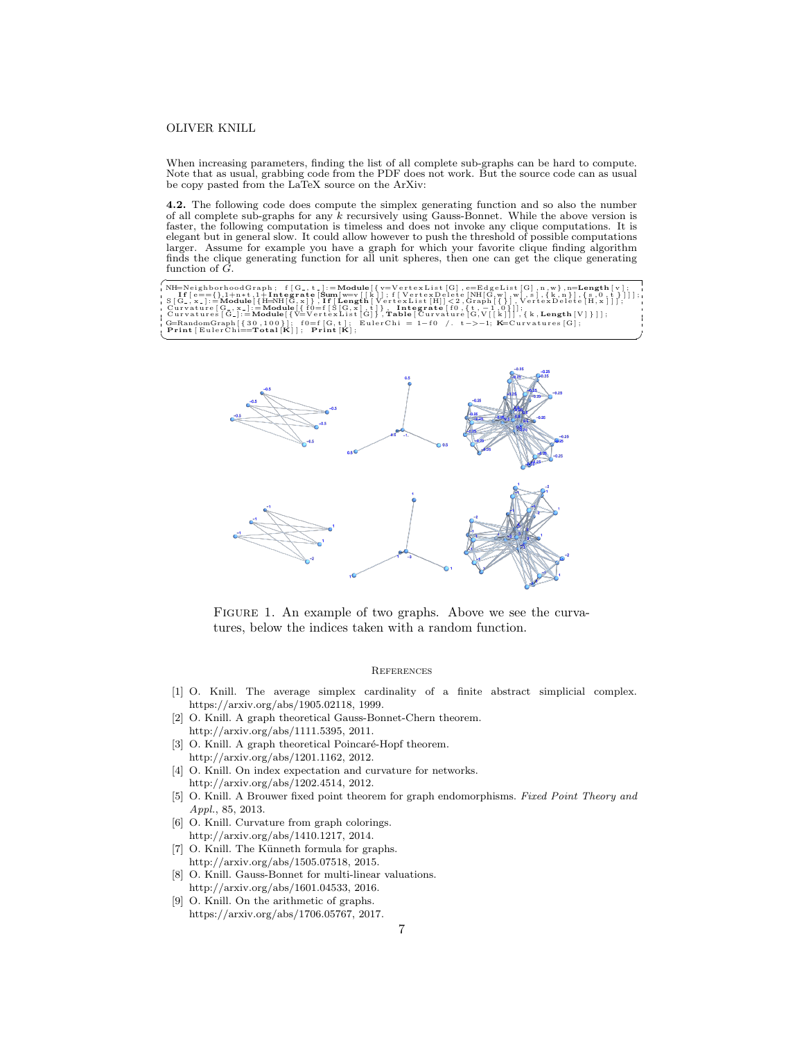### OLIVER KNILL

When increasing parameters, finding the list of all complete sub-graphs can be hard to compute. Note that as usual, grabbing code from the PDF does not work. But the source code can as usual be copy pasted from the LaTeX source on the ArXiv:

4.2. The following code does compute the simplex generating function and so also the number of all complete sub-graphs for any k recursively using Gauss-Bonnet. While the above version is faster, the following computation is timeless and does not invoke any clique computations. It is elegant but in general slow. It could allow however to push the threshold of possible computations larger. Assume for example you have a graph for which your favorite clique finding algorithm finds the clique generating function for all unit spheres, then one can get the clique generating function of G.

NH=NeighborhoodGraph; f[G\_,t\_]:=Module[{v=VertexList[G],e=EdgeList[G],n,w},n=Length [v];<br>If [e=={},1+n\*t,1+Integrate [Sum [w=v [[k]]; f [VertexDelete [NH[G,w],w],s],{k,n}],{s,0,t}]]];<br>S[G\_,x\_]:=Module[{H=NH[G,x]},If [Lengt (G=RandomGraph [{30,100}]; f0=f [G, t]; EulerChi = 1−f0 /. t->−1; K=Curvatures [G];<br>Print [EulerChi==Total [K]]; Print [K];



FIGURE 1. An example of two graphs. Above we see the curvatures, below the indices taken with a random function.

#### **REFERENCES**

- [1] O. Knill. The average simplex cardinality of a finite abstract simplicial complex. https://arxiv.org/abs/1905.02118, 1999.
- [2] O. Knill. A graph theoretical Gauss-Bonnet-Chern theorem. http://arxiv.org/abs/1111.5395, 2011.
- [3] O. Knill. A graph theoretical Poincaré-Hopf theorem. http://arxiv.org/abs/1201.1162, 2012.
- [4] O. Knill. On index expectation and curvature for networks. http://arxiv.org/abs/1202.4514, 2012.
- [5] O. Knill. A Brouwer fixed point theorem for graph endomorphisms. Fixed Point Theory and Appl., 85, 2013.
- [6] O. Knill. Curvature from graph colorings. http://arxiv.org/abs/1410.1217, 2014.
- [7] O. Knill. The Künneth formula for graphs. http://arxiv.org/abs/1505.07518, 2015.
- [8] O. Knill. Gauss-Bonnet for multi-linear valuations. http://arxiv.org/abs/1601.04533, 2016.
- [9] O. Knill. On the arithmetic of graphs. https://arxiv.org/abs/1706.05767, 2017.